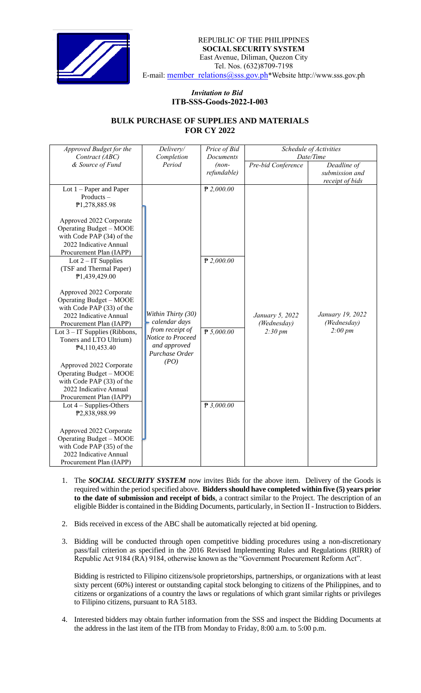

## *Invitation to Bid*  **ITB-SSS-Goods-2022-I-003**

## **BULK PURCHASE OF SUPPLIES AND MATERIALS FOR CY 2022**

| Approved Budget for the                                                                                                                     | Delivery/                                                              | Price of Bid         | Schedule of Activities<br>Date/Time |                                   |
|---------------------------------------------------------------------------------------------------------------------------------------------|------------------------------------------------------------------------|----------------------|-------------------------------------|-----------------------------------|
| Contract (ABC)<br>& Source of Fund                                                                                                          | Completion<br>Period                                                   | Documents<br>$(non-$ | Pre-bid Conference                  | Deadline of                       |
|                                                                                                                                             |                                                                        | refundable)          |                                     | submission and<br>receipt of bids |
| Lot $1$ – Paper and Paper<br>Products-<br>P1,278,885.98                                                                                     |                                                                        | $P$ 2,000.00         |                                     |                                   |
| Approved 2022 Corporate<br><b>Operating Budget - MOOE</b><br>with Code PAP (34) of the<br>2022 Indicative Annual<br>Procurement Plan (IAPP) |                                                                        |                      |                                     |                                   |
| Lot $2 - IT$ Supplies<br>(TSF and Thermal Paper)<br>P1,439,429.00                                                                           | Within Thirty (30)<br>calendar days                                    | $P$ 2,000.00         | January 5, 2022<br>(Wednesday)      | January 19, 2022<br>(Wednesday)   |
| Approved 2022 Corporate<br>Operating Budget - MOOE<br>with Code PAP (33) of the<br>2022 Indicative Annual<br>Procurement Plan (IAPP)        |                                                                        |                      |                                     |                                   |
| Lot $3 - IT$ Supplies (Ribbons,<br>Toners and LTO Ultrium)<br>P4,110,453.40                                                                 | from receipt of<br>Notice to Proceed<br>and approved<br>Purchase Order | P 5,000.00           | $2:30 \, pm$                        | $2:00 \, pm$                      |
| Approved 2022 Corporate<br>Operating Budget - MOOE<br>with Code PAP (33) of the<br>2022 Indicative Annual<br>Procurement Plan (IAPP)        |                                                                        |                      |                                     |                                   |
| Lot $4$ – Supplies-Others<br>P2,838,988.99                                                                                                  |                                                                        | $P$ 3,000.00         |                                     |                                   |
| Approved 2022 Corporate<br><b>Operating Budget - MOOE</b><br>with Code PAP (35) of the<br>2022 Indicative Annual                            |                                                                        |                      |                                     |                                   |
| Procurement Plan (IAPP)                                                                                                                     | (PO)                                                                   |                      |                                     |                                   |

- 1. The *SOCIAL SECURITY SYSTEM* now invites Bids for the above item. Delivery of the Goods is required within the period specified above. **Bidders should have completed within five (5) years prior to the date of submission and receipt of bids**, a contract similar to the Project. The description of an eligible Bidder is contained in the Bidding Documents, particularly, in Section II - Instruction to Bidders.
- 2. Bids received in excess of the ABC shall be automatically rejected at bid opening.
- 3. Bidding will be conducted through open competitive bidding procedures using a non-discretionary pass/fail criterion as specified in the 2016 Revised Implementing Rules and Regulations (RIRR) of Republic Act 9184 (RA) 9184, otherwise known as the "Government Procurement Reform Act".

Bidding is restricted to Filipino citizens/sole proprietorships, partnerships, or organizations with at least sixty percent (60%) interest or outstanding capital stock belonging to citizens of the Philippines, and to citizens or organizations of a country the laws or regulations of which grant similar rights or privileges to Filipino citizens, pursuant to RA 5183.

4. Interested bidders may obtain further information from the SSS and inspect the Bidding Documents at the address in the last item of the ITB from Monday to Friday, 8:00 a.m. to 5:00 p.m.